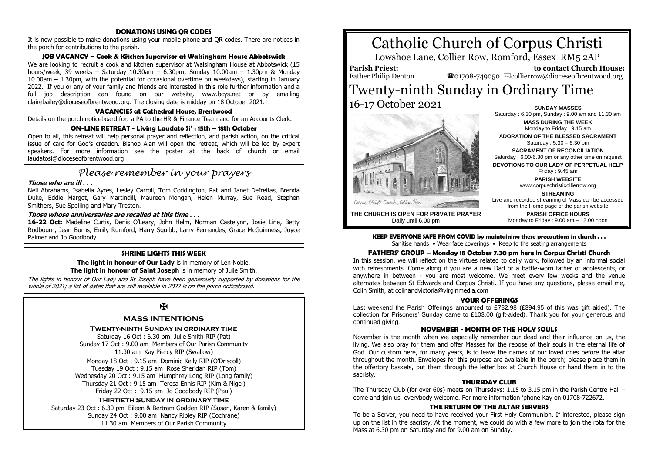#### **DONATIONS USING QR CODES**

It is now possible to make donations using your mobile phone and QR codes. There are notices in the porch for contributions to the parish.

## **JOB VACANCY – Cook & Kitchen Supervisor at Walsingham House Abbotswick**

We are looking to recruit a cook and kitchen supervisor at Walsingham House at Abbotswick (15 hours/week, 39 weeks – Saturday 10.30am – 6.30pm; Sunday  $10.00$ am – 1.30pm & Monday 10.00am – 1.30pm, with the potential for occasional overtime on weekdays), starting in January 2022. If you or any of your family and friends are interested in this role further information and a full job description can found on our website, www.bcys.net or by emailing clairebailey@dioceseofbrentwood.org. The closing date is midday on 18 October 2021.

## **VACANCIES at Cathedral House, Brentwood**

Details on the porch noticeboard for: a PA to the HR & Finance Team and for an Accounts Clerk.

## **ON-LINE RETREAT - Living Laudato Si' : 15th – 18th October**

Open to all, this retreat will help personal prayer and reflection, and parish action, on the critical issue of care for God's creation. Bishop Alan will open the retreat, which will be led by expert speakers. For more information see the poster at the back of church or email laudatosi@dioceseofbrentwood.org

# *Please remember in your prayers*

#### **Those who are ill . . .**

Neil Abrahams, Isabella Ayres, Lesley Carroll, Tom Coddington, Pat and Janet Defreitas, Brenda Duke, Eddie Margot, Gary Martindill, Maureen Mongan, Helen Murray, Sue Read, Stephen Smithers, Sue Spelling and Mary Treston.

# **Those whose anniversaries are recalled at this time . . .**

**16-22 Oct:** Madeline Curtis, Denis O'Leary, John Helm, Norman Castelynn, Josie Line, Betty Rodbourn, Jean Burns, Emily Rumford, Harry Squibb, Larry Fernandes, Grace McGuinness, Joyce Palmer and Jo Goodbody.

#### **SHRINE LIGHTS THIS WEEK**

**The light in honour of Our Lady** is in memory of Len Noble. **The light in honour of Saint Joseph** is in memory of Julie Smith.

The lights in honour of Our Lady and St Joseph have been generously supported by donations for the whole of 2021; a list of dates that are still available in 2022 is on the porch noticeboard.

# $\mathbf K$

# **MASS INTENTIONS**

#### **Twenty-ninth Sunday in ordinary time**

Saturday 16 Oct : 6.30 pm Julie Smith RIP (Pat) Sunday 17 Oct : 9.00 am Members of Our Parish Community 11.30 am Kay Piercy RIP (Swallow)

Monday 18 Oct : 9.15 am Dominic Kelly RIP (O'Driscoll) Tuesday 19 Oct : 9.15 am Rose Sheridan RIP (Tom) Wednesday 20 Oct : 9.15 am Humphrey Long RIP (Long family) Thursday 21 Oct : 9.15 am Teresa Ennis RIP (Kim & Nigel) Friday 22 Oct : 9.15 am Jo Goodbody RIP (Paul)

#### **Thirtieth Sunday in ordinary time**

Saturday 23 Oct : 6.30 pm Eileen & Bertram Godden RIP (Susan, Karen & family) Sunday 24 Oct : 9.00 am Nancy Ripley RIP (Cochrane) 11.30 am Members of Our Parish Community

# Catholic Church of Corpus Christi

Lowshoe Lane, Collier Row, Romford, Essex RM5 2AP

**Parish Priest:** Father Philip Denton

 **to contact Church House:**  $\bullet$ 01708-749050  $\boxtimes$ collierrow@dioceseofbrentwood.org

# Twenty-ninth Sunday in Ordinary Time 16-17 October 2021 **SUNDAY MASSES**



Saturday : 6.30 pm, Sunday : 9.00 am and 11.30 am **MASS DURING THE WEEK** Monday to Friday : 9.15 am **ADORATION OF THE BLESSED SACRAMENT** Saturday : 5.30 – 6.30 pm **SACRAMENT OF RECONCILIATION** Saturday : 6.00-6.30 pm or any other time on request **DEVOTIONS TO OUR LADY OF PERPETUAL HELP** Friday : 9.45 am **PARISH WEBSITE** www.corpuschristicollierrow.org **STREAMING** Live and recorded streaming of Mass can be accessed from the Home page of the parish website **PARISH OFFICE HOURS**

Monday to Friday : 9.00 am – 12.00 noon

**THE CHURCH IS OPEN FOR PRIVATE PRAYER** Daily until 6.00 pm

**KEEP EVERYONE SAFE FROM COVID by maintaining these precautions in church . . .**

# Sanitise hands • Wear face coverings • Keep to the seating arrangements

## **FATHERS' GROUP – Monday 18 October 7.30 pm here in Corpus Christi Church**

In this session, we will reflect on the virtues related to daily work, followed by an informal social with refreshments. Come along if you are a new Dad or a battle-worn father of adolescents, or anywhere in between - you are most welcome. We meet every few weeks and the venue alternates between St Edwards and Corpus Christi. If you have any questions, please email me, Colin Smith, at colinandvictoria@virginmedia.com

#### **YOUR OFFERINGS**

Last weekend the Parish Offerings amounted to £782.98 (£394.95 of this was gift aided). The collection for Prisoners' Sunday came to £103.00 (gift-aided). Thank you for your generous and continued giving.

#### **NOVEMBER - MONTH OF THE HOLY SOULS**

November is the month when we especially remember our dead and their influence on us, the living. We also pray for them and offer Masses for the repose of their souls in the eternal life of God. Our custom here, for many years, is to leave the names of our loved ones before the altar throughout the month. Envelopes for this purpose are available in the porch; please place them in the offertory baskets, put them through the letter box at Church House or hand them in to the sacristy.

#### **THURSDAY CLUB**

The Thursday Club (for over 60s) meets on Thursdays: 1.15 to 3.15 pm in the Parish Centre Hall – come and join us, everybody welcome. For more information 'phone Kay on 01708-722672.

#### **THE RETURN OF THE ALTAR SERVERS**

To be a Server, you need to have received your First Holy Communion. If interested, please sign up on the list in the sacristy. At the moment, we could do with a few more to join the rota for the Mass at 6.30 pm on Saturday and for 9.00 am on Sunday.